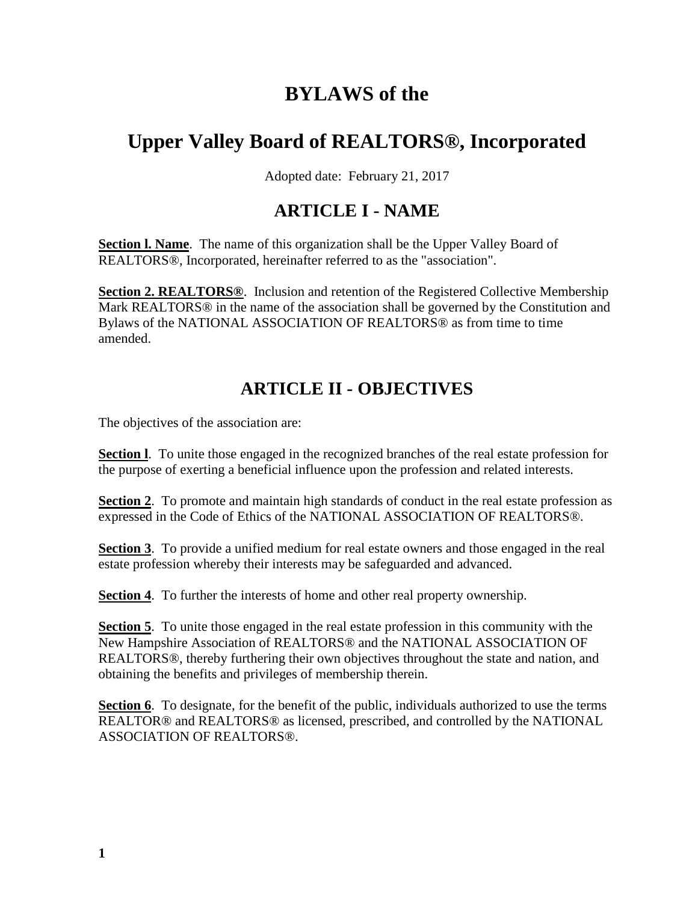# **BYLAWS of the**

# **Upper Valley Board of REALTORS®, Incorporated**

Adopted date: February 21, 2017

### **ARTICLE I - NAME**

**Section l. Name**. The name of this organization shall be the Upper Valley Board of REALTORS®, Incorporated, hereinafter referred to as the "association".

**Section 2. REALTORS®**. Inclusion and retention of the Registered Collective Membership Mark REALTORS® in the name of the association shall be governed by the Constitution and Bylaws of the NATIONAL ASSOCIATION OF REALTORS® as from time to time amended.

# **ARTICLE II - OBJECTIVES**

The objectives of the association are:

**Section l**. To unite those engaged in the recognized branches of the real estate profession for the purpose of exerting a beneficial influence upon the profession and related interests.

**Section 2.** To promote and maintain high standards of conduct in the real estate profession as expressed in the Code of Ethics of the NATIONAL ASSOCIATION OF REALTORS®.

**Section 3**. To provide a unified medium for real estate owners and those engaged in the real estate profession whereby their interests may be safeguarded and advanced.

**Section 4**. To further the interests of home and other real property ownership.

**Section 5**. To unite those engaged in the real estate profession in this community with the New Hampshire Association of REALTORS® and the NATIONAL ASSOCIATION OF REALTORS®, thereby furthering their own objectives throughout the state and nation, and obtaining the benefits and privileges of membership therein.

**Section 6**. To designate, for the benefit of the public, individuals authorized to use the terms REALTOR® and REALTORS® as licensed, prescribed, and controlled by the NATIONAL ASSOCIATION OF REALTORS®.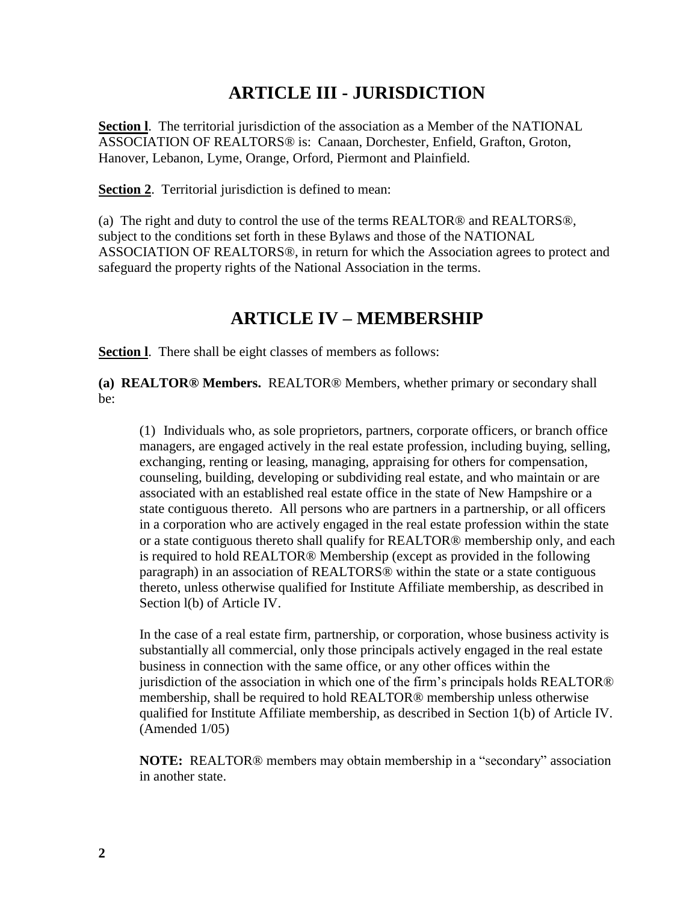### **ARTICLE III - JURISDICTION**

**Section l**. The territorial jurisdiction of the association as a Member of the NATIONAL ASSOCIATION OF REALTORS® is: Canaan, Dorchester, Enfield, Grafton, Groton, Hanover, Lebanon, Lyme, Orange, Orford, Piermont and Plainfield.

**Section 2**. Territorial jurisdiction is defined to mean:

(a) The right and duty to control the use of the terms REALTOR® and REALTORS®, subject to the conditions set forth in these Bylaws and those of the NATIONAL ASSOCIATION OF REALTORS®, in return for which the Association agrees to protect and safeguard the property rights of the National Association in the terms.

#### **ARTICLE IV – MEMBERSHIP**

**Section l**. There shall be eight classes of members as follows:

**(a) REALTOR® Members.** REALTOR® Members, whether primary or secondary shall be:

(1) Individuals who, as sole proprietors, partners, corporate officers, or branch office managers, are engaged actively in the real estate profession, including buying, selling, exchanging, renting or leasing, managing, appraising for others for compensation, counseling, building, developing or subdividing real estate, and who maintain or are associated with an established real estate office in the state of New Hampshire or a state contiguous thereto. All persons who are partners in a partnership, or all officers in a corporation who are actively engaged in the real estate profession within the state or a state contiguous thereto shall qualify for REALTOR® membership only, and each is required to hold REALTOR® Membership (except as provided in the following paragraph) in an association of REALTORS® within the state or a state contiguous thereto, unless otherwise qualified for Institute Affiliate membership, as described in Section l(b) of Article IV.

In the case of a real estate firm, partnership, or corporation, whose business activity is substantially all commercial, only those principals actively engaged in the real estate business in connection with the same office, or any other offices within the jurisdiction of the association in which one of the firm's principals holds REALTOR® membership, shall be required to hold REALTOR® membership unless otherwise qualified for Institute Affiliate membership, as described in Section 1(b) of Article IV. (Amended 1/05)

**NOTE:** REALTOR® members may obtain membership in a "secondary" association in another state.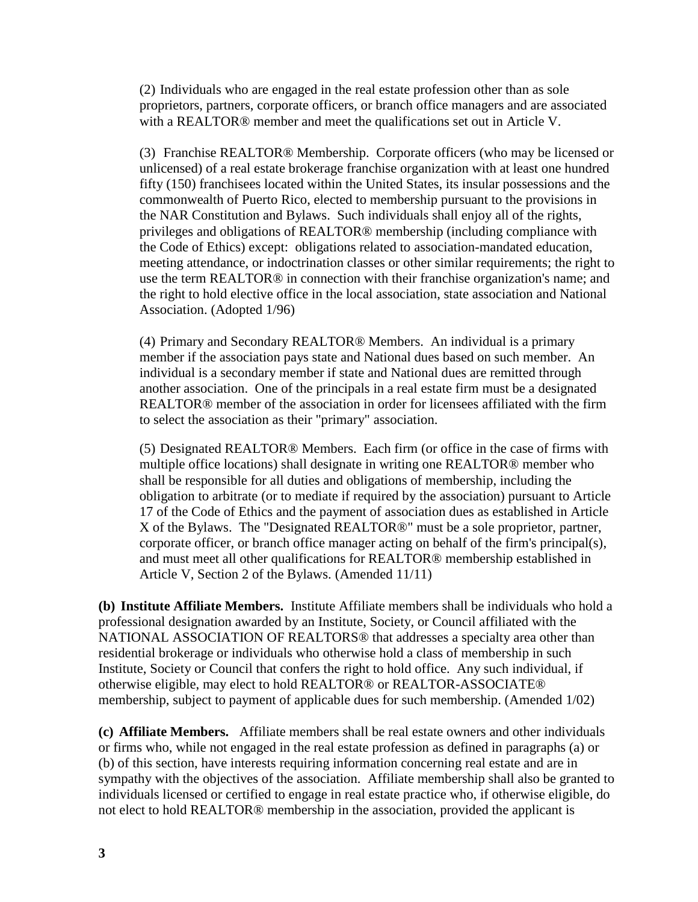(2) Individuals who are engaged in the real estate profession other than as sole proprietors, partners, corporate officers, or branch office managers and are associated with a REALTOR® member and meet the qualifications set out in Article V.

(3) Franchise REALTOR® Membership. Corporate officers (who may be licensed or unlicensed) of a real estate brokerage franchise organization with at least one hundred fifty (150) franchisees located within the United States, its insular possessions and the commonwealth of Puerto Rico, elected to membership pursuant to the provisions in the NAR Constitution and Bylaws. Such individuals shall enjoy all of the rights, privileges and obligations of REALTOR® membership (including compliance with the Code of Ethics) except: obligations related to association-mandated education, meeting attendance, or indoctrination classes or other similar requirements; the right to use the term REALTOR® in connection with their franchise organization's name; and the right to hold elective office in the local association, state association and National Association. (Adopted 1/96)

(4) Primary and Secondary REALTOR® Members. An individual is a primary member if the association pays state and National dues based on such member. An individual is a secondary member if state and National dues are remitted through another association. One of the principals in a real estate firm must be a designated REALTOR® member of the association in order for licensees affiliated with the firm to select the association as their "primary" association.

(5) Designated REALTOR® Members. Each firm (or office in the case of firms with multiple office locations) shall designate in writing one REALTOR® member who shall be responsible for all duties and obligations of membership, including the obligation to arbitrate (or to mediate if required by the association) pursuant to Article 17 of the Code of Ethics and the payment of association dues as established in Article X of the Bylaws. The "Designated REALTOR®" must be a sole proprietor, partner, corporate officer, or branch office manager acting on behalf of the firm's principal(s), and must meet all other qualifications for REALTOR® membership established in Article V, Section 2 of the Bylaws. (Amended 11/11)

**(b) Institute Affiliate Members.** Institute Affiliate members shall be individuals who hold a professional designation awarded by an Institute, Society, or Council affiliated with the NATIONAL ASSOCIATION OF REALTORS® that addresses a specialty area other than residential brokerage or individuals who otherwise hold a class of membership in such Institute, Society or Council that confers the right to hold office. Any such individual, if otherwise eligible, may elect to hold REALTOR® or REALTOR-ASSOCIATE® membership, subject to payment of applicable dues for such membership. (Amended 1/02)

**(c) Affiliate Members.** Affiliate members shall be real estate owners and other individuals or firms who, while not engaged in the real estate profession as defined in paragraphs (a) or (b) of this section, have interests requiring information concerning real estate and are in sympathy with the objectives of the association. Affiliate membership shall also be granted to individuals licensed or certified to engage in real estate practice who, if otherwise eligible, do not elect to hold REALTOR® membership in the association, provided the applicant is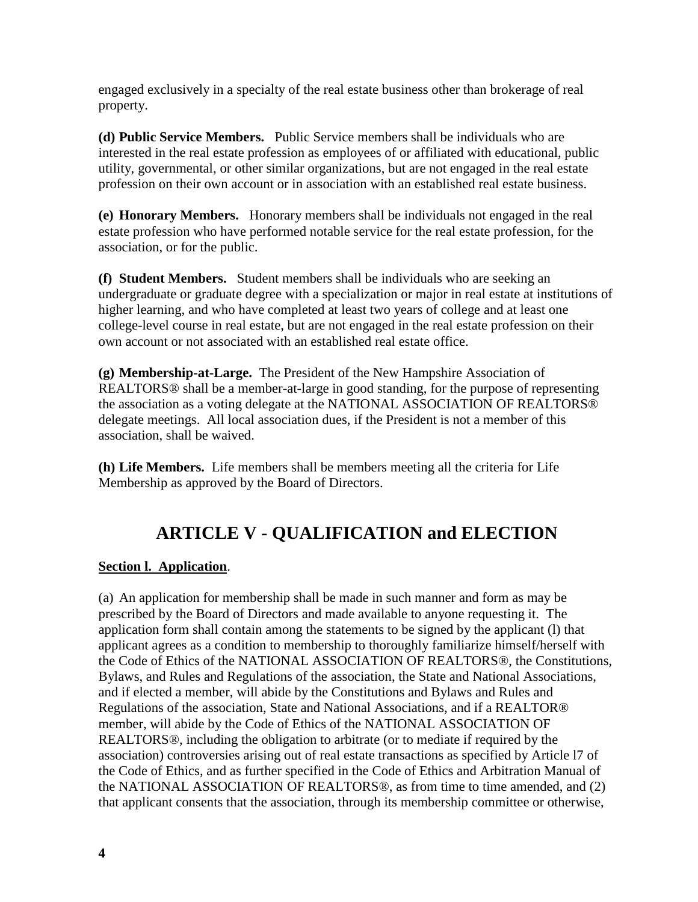engaged exclusively in a specialty of the real estate business other than brokerage of real property.

**(d) Public Service Members.** Public Service members shall be individuals who are interested in the real estate profession as employees of or affiliated with educational, public utility, governmental, or other similar organizations, but are not engaged in the real estate profession on their own account or in association with an established real estate business.

**(e) Honorary Members.** Honorary members shall be individuals not engaged in the real estate profession who have performed notable service for the real estate profession, for the association, or for the public.

**(f) Student Members.** Student members shall be individuals who are seeking an undergraduate or graduate degree with a specialization or major in real estate at institutions of higher learning, and who have completed at least two years of college and at least one college-level course in real estate, but are not engaged in the real estate profession on their own account or not associated with an established real estate office.

**(g) Membership-at-Large.** The President of the New Hampshire Association of REALTORS® shall be a member-at-large in good standing, for the purpose of representing the association as a voting delegate at the NATIONAL ASSOCIATION OF REALTORS® delegate meetings. All local association dues, if the President is not a member of this association, shall be waived.

**(h) Life Members.** Life members shall be members meeting all the criteria for Life Membership as approved by the Board of Directors.

# **ARTICLE V - QUALIFICATION and ELECTION**

#### **Section l. Application**.

(a) An application for membership shall be made in such manner and form as may be prescribed by the Board of Directors and made available to anyone requesting it. The application form shall contain among the statements to be signed by the applicant (l) that applicant agrees as a condition to membership to thoroughly familiarize himself/herself with the Code of Ethics of the NATIONAL ASSOCIATION OF REALTORS®, the Constitutions, Bylaws, and Rules and Regulations of the association, the State and National Associations, and if elected a member, will abide by the Constitutions and Bylaws and Rules and Regulations of the association, State and National Associations, and if a REALTOR® member, will abide by the Code of Ethics of the NATIONAL ASSOCIATION OF REALTORS®, including the obligation to arbitrate (or to mediate if required by the association) controversies arising out of real estate transactions as specified by Article l7 of the Code of Ethics, and as further specified in the Code of Ethics and Arbitration Manual of the NATIONAL ASSOCIATION OF REALTORS®, as from time to time amended, and (2) that applicant consents that the association, through its membership committee or otherwise,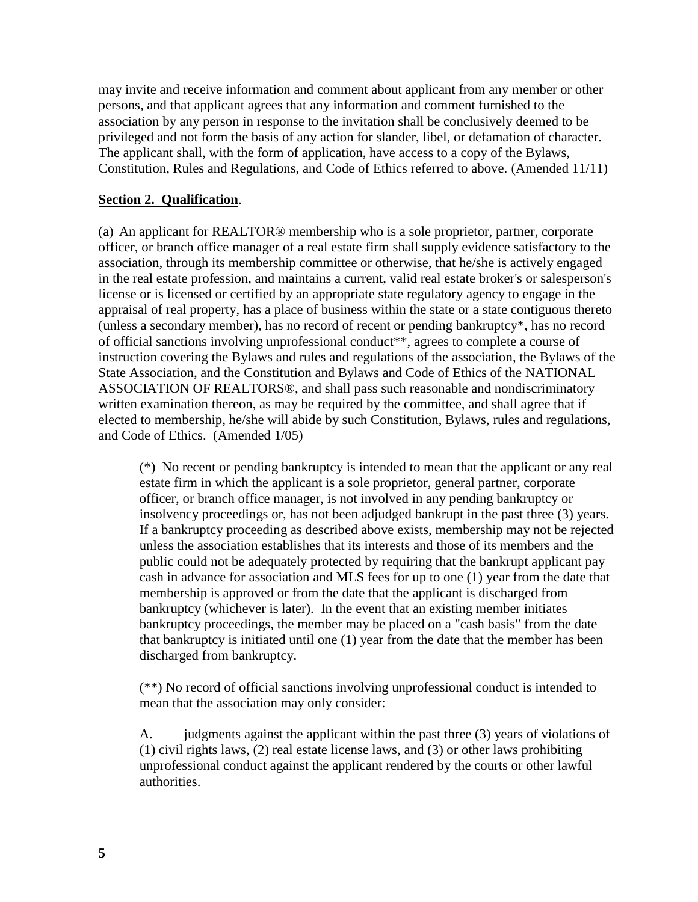may invite and receive information and comment about applicant from any member or other persons, and that applicant agrees that any information and comment furnished to the association by any person in response to the invitation shall be conclusively deemed to be privileged and not form the basis of any action for slander, libel, or defamation of character. The applicant shall, with the form of application, have access to a copy of the Bylaws, Constitution, Rules and Regulations, and Code of Ethics referred to above. (Amended 11/11)

#### **Section 2. Qualification**.

(a) An applicant for REALTOR® membership who is a sole proprietor, partner, corporate officer, or branch office manager of a real estate firm shall supply evidence satisfactory to the association, through its membership committee or otherwise, that he/she is actively engaged in the real estate profession, and maintains a current, valid real estate broker's or salesperson's license or is licensed or certified by an appropriate state regulatory agency to engage in the appraisal of real property, has a place of business within the state or a state contiguous thereto (unless a secondary member), has no record of recent or pending bankruptcy\*, has no record of official sanctions involving unprofessional conduct\*\*, agrees to complete a course of instruction covering the Bylaws and rules and regulations of the association, the Bylaws of the State Association, and the Constitution and Bylaws and Code of Ethics of the NATIONAL ASSOCIATION OF REALTORS®, and shall pass such reasonable and nondiscriminatory written examination thereon, as may be required by the committee, and shall agree that if elected to membership, he/she will abide by such Constitution, Bylaws, rules and regulations, and Code of Ethics. (Amended 1/05)

(\*) No recent or pending bankruptcy is intended to mean that the applicant or any real estate firm in which the applicant is a sole proprietor, general partner, corporate officer, or branch office manager, is not involved in any pending bankruptcy or insolvency proceedings or, has not been adjudged bankrupt in the past three (3) years. If a bankruptcy proceeding as described above exists, membership may not be rejected unless the association establishes that its interests and those of its members and the public could not be adequately protected by requiring that the bankrupt applicant pay cash in advance for association and MLS fees for up to one (1) year from the date that membership is approved or from the date that the applicant is discharged from bankruptcy (whichever is later). In the event that an existing member initiates bankruptcy proceedings, the member may be placed on a "cash basis" from the date that bankruptcy is initiated until one (1) year from the date that the member has been discharged from bankruptcy.

(\*\*) No record of official sanctions involving unprofessional conduct is intended to mean that the association may only consider:

A. judgments against the applicant within the past three (3) years of violations of (1) civil rights laws, (2) real estate license laws, and (3) or other laws prohibiting unprofessional conduct against the applicant rendered by the courts or other lawful authorities.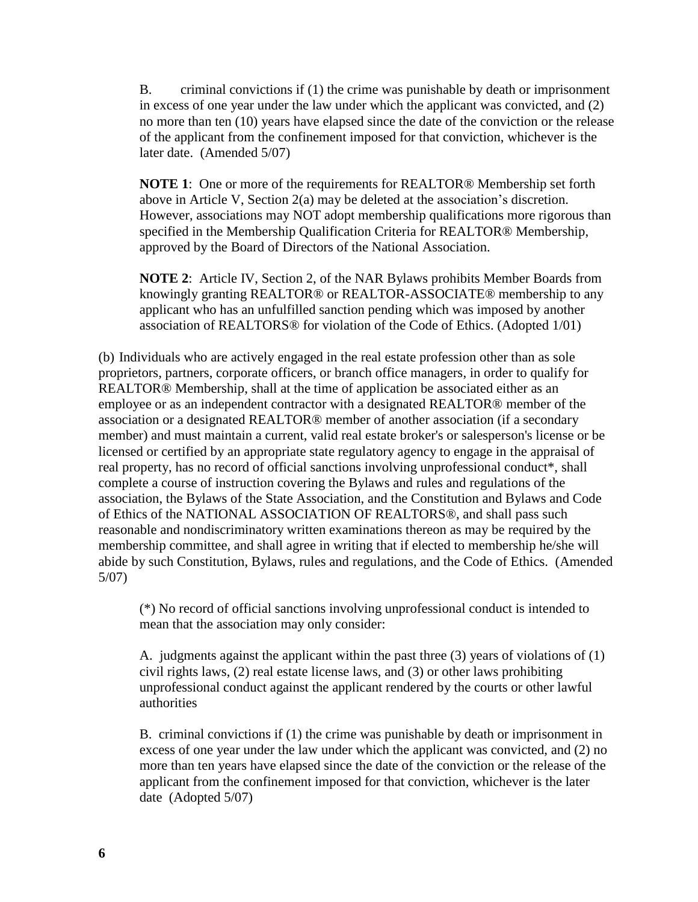B. criminal convictions if (1) the crime was punishable by death or imprisonment in excess of one year under the law under which the applicant was convicted, and (2) no more than ten (10) years have elapsed since the date of the conviction or the release of the applicant from the confinement imposed for that conviction, whichever is the later date. (Amended 5/07)

**NOTE 1**: One or more of the requirements for REALTOR® Membership set forth above in Article V, Section 2(a) may be deleted at the association's discretion. However, associations may NOT adopt membership qualifications more rigorous than specified in the Membership Qualification Criteria for REALTOR® Membership, approved by the Board of Directors of the National Association.

**NOTE 2**: Article IV, Section 2, of the NAR Bylaws prohibits Member Boards from knowingly granting REALTOR® or REALTOR-ASSOCIATE® membership to any applicant who has an unfulfilled sanction pending which was imposed by another association of REALTORS® for violation of the Code of Ethics. (Adopted 1/01)

(b) Individuals who are actively engaged in the real estate profession other than as sole proprietors, partners, corporate officers, or branch office managers, in order to qualify for REALTOR® Membership, shall at the time of application be associated either as an employee or as an independent contractor with a designated REALTOR® member of the association or a designated REALTOR® member of another association (if a secondary member) and must maintain a current, valid real estate broker's or salesperson's license or be licensed or certified by an appropriate state regulatory agency to engage in the appraisal of real property, has no record of official sanctions involving unprofessional conduct\*, shall complete a course of instruction covering the Bylaws and rules and regulations of the association, the Bylaws of the State Association, and the Constitution and Bylaws and Code of Ethics of the NATIONAL ASSOCIATION OF REALTORS®, and shall pass such reasonable and nondiscriminatory written examinations thereon as may be required by the membership committee, and shall agree in writing that if elected to membership he/she will abide by such Constitution, Bylaws, rules and regulations, and the Code of Ethics. (Amended 5/07)

(\*) No record of official sanctions involving unprofessional conduct is intended to mean that the association may only consider:

A. judgments against the applicant within the past three (3) years of violations of (1) civil rights laws, (2) real estate license laws, and (3) or other laws prohibiting unprofessional conduct against the applicant rendered by the courts or other lawful authorities

B. criminal convictions if (1) the crime was punishable by death or imprisonment in excess of one year under the law under which the applicant was convicted, and (2) no more than ten years have elapsed since the date of the conviction or the release of the applicant from the confinement imposed for that conviction, whichever is the later date (Adopted 5/07)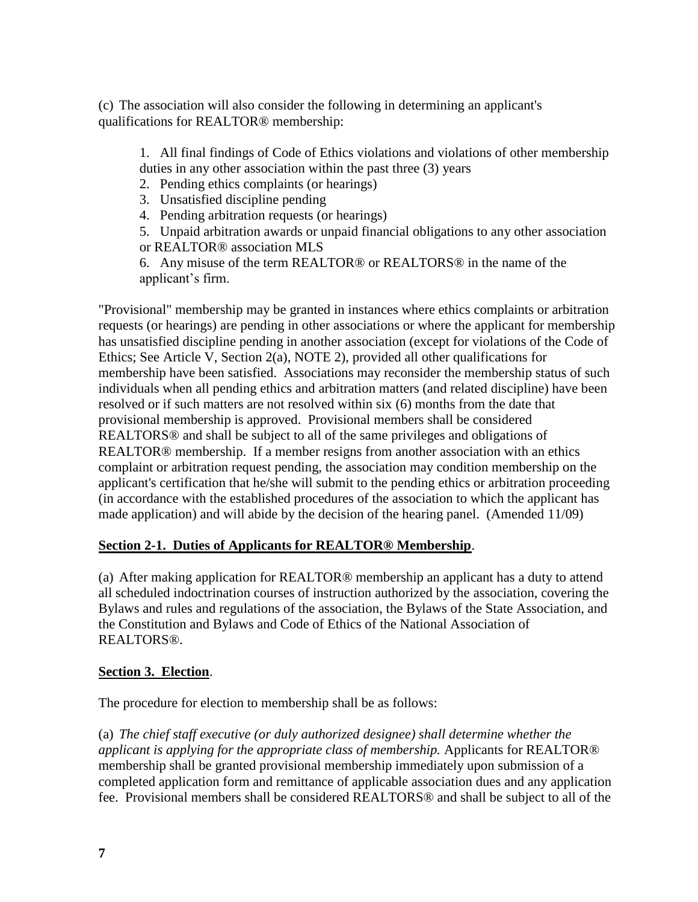(c) The association will also consider the following in determining an applicant's qualifications for REALTOR® membership:

1. All final findings of Code of Ethics violations and violations of other membership duties in any other association within the past three (3) years

2. Pending ethics complaints (or hearings)

- 3. Unsatisfied discipline pending
- 4. Pending arbitration requests (or hearings)

5. Unpaid arbitration awards or unpaid financial obligations to any other association or REALTOR® association MLS

6. Any misuse of the term REALTOR® or REALTORS® in the name of the applicant's firm.

"Provisional" membership may be granted in instances where ethics complaints or arbitration requests (or hearings) are pending in other associations or where the applicant for membership has unsatisfied discipline pending in another association (except for violations of the Code of Ethics; See Article V, Section 2(a), NOTE 2), provided all other qualifications for membership have been satisfied. Associations may reconsider the membership status of such individuals when all pending ethics and arbitration matters (and related discipline) have been resolved or if such matters are not resolved within six (6) months from the date that provisional membership is approved. Provisional members shall be considered REALTORS® and shall be subject to all of the same privileges and obligations of REALTOR® membership. If a member resigns from another association with an ethics complaint or arbitration request pending, the association may condition membership on the applicant's certification that he/she will submit to the pending ethics or arbitration proceeding (in accordance with the established procedures of the association to which the applicant has made application) and will abide by the decision of the hearing panel. (Amended 11/09)

#### **Section 2-1. Duties of Applicants for REALTOR® Membership**.

(a) After making application for REALTOR® membership an applicant has a duty to attend all scheduled indoctrination courses of instruction authorized by the association, covering the Bylaws and rules and regulations of the association, the Bylaws of the State Association, and the Constitution and Bylaws and Code of Ethics of the National Association of REALTORS®.

#### **Section 3. Election**.

The procedure for election to membership shall be as follows:

(a) *The chief staff executive (or duly authorized designee) shall determine whether the applicant is applying for the appropriate class of membership.* Applicants for REALTOR® membership shall be granted provisional membership immediately upon submission of a completed application form and remittance of applicable association dues and any application fee. Provisional members shall be considered REALTORS® and shall be subject to all of the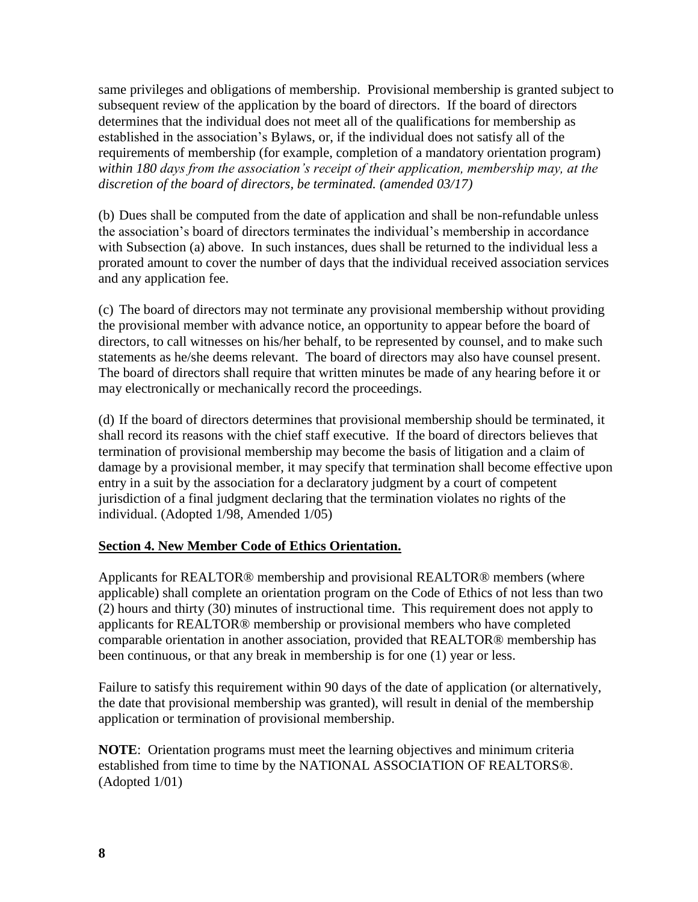same privileges and obligations of membership. Provisional membership is granted subject to subsequent review of the application by the board of directors. If the board of directors determines that the individual does not meet all of the qualifications for membership as established in the association's Bylaws, or, if the individual does not satisfy all of the requirements of membership (for example, completion of a mandatory orientation program) *within 180 days from the association's receipt of their application, membership may, at the discretion of the board of directors, be terminated. (amended 03/17)*

(b) Dues shall be computed from the date of application and shall be non-refundable unless the association's board of directors terminates the individual's membership in accordance with Subsection (a) above. In such instances, dues shall be returned to the individual less a prorated amount to cover the number of days that the individual received association services and any application fee.

(c) The board of directors may not terminate any provisional membership without providing the provisional member with advance notice, an opportunity to appear before the board of directors, to call witnesses on his/her behalf, to be represented by counsel, and to make such statements as he/she deems relevant. The board of directors may also have counsel present. The board of directors shall require that written minutes be made of any hearing before it or may electronically or mechanically record the proceedings.

(d) If the board of directors determines that provisional membership should be terminated, it shall record its reasons with the chief staff executive. If the board of directors believes that termination of provisional membership may become the basis of litigation and a claim of damage by a provisional member, it may specify that termination shall become effective upon entry in a suit by the association for a declaratory judgment by a court of competent jurisdiction of a final judgment declaring that the termination violates no rights of the individual. (Adopted 1/98, Amended 1/05)

#### **Section 4. New Member Code of Ethics Orientation.**

Applicants for REALTOR® membership and provisional REALTOR® members (where applicable) shall complete an orientation program on the Code of Ethics of not less than two (2) hours and thirty (30) minutes of instructional time. This requirement does not apply to applicants for REALTOR® membership or provisional members who have completed comparable orientation in another association, provided that REALTOR® membership has been continuous, or that any break in membership is for one (1) year or less.

Failure to satisfy this requirement within 90 days of the date of application (or alternatively, the date that provisional membership was granted), will result in denial of the membership application or termination of provisional membership.

**NOTE**: Orientation programs must meet the learning objectives and minimum criteria established from time to time by the NATIONAL ASSOCIATION OF REALTORS®. (Adopted 1/01)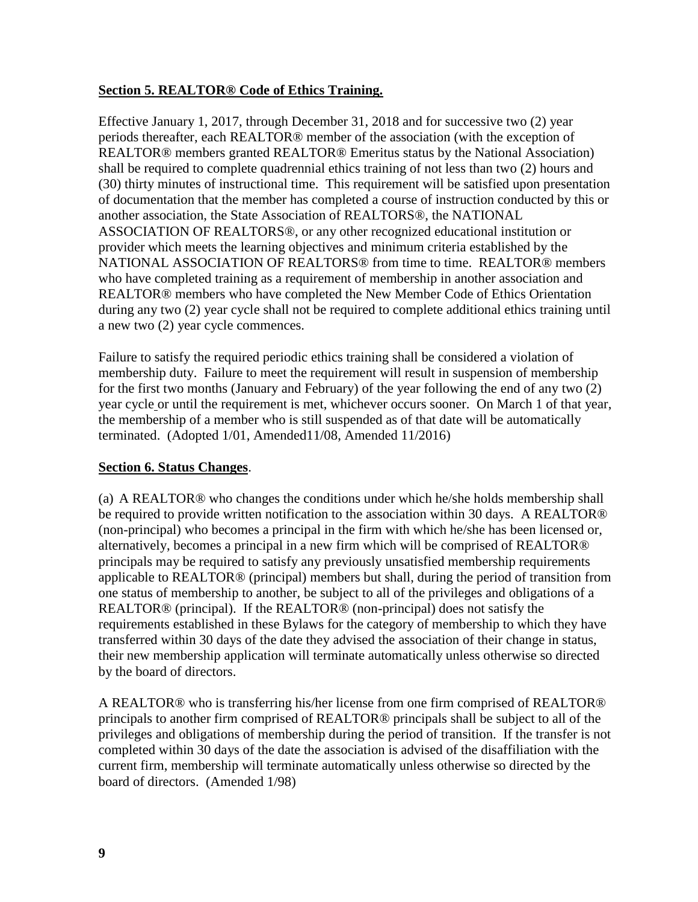#### **Section 5. REALTOR® Code of Ethics Training.**

Effective January 1, 2017, through December 31, 2018 and for successive two (2) year periods thereafter, each REALTOR® member of the association (with the exception of REALTOR® members granted REALTOR® Emeritus status by the National Association) shall be required to complete quadrennial ethics training of not less than two (2) hours and (30) thirty minutes of instructional time. This requirement will be satisfied upon presentation of documentation that the member has completed a course of instruction conducted by this or another association, the State Association of REALTORS®, the NATIONAL ASSOCIATION OF REALTORS®, or any other recognized educational institution or provider which meets the learning objectives and minimum criteria established by the NATIONAL ASSOCIATION OF REALTORS® from time to time. REALTOR® members who have completed training as a requirement of membership in another association and REALTOR® members who have completed the New Member Code of Ethics Orientation during any two (2) year cycle shall not be required to complete additional ethics training until a new two (2) year cycle commences.

Failure to satisfy the required periodic ethics training shall be considered a violation of membership duty. Failure to meet the requirement will result in suspension of membership for the first two months (January and February) of the year following the end of any two (2) year cycle or until the requirement is met, whichever occurs sooner. On March 1 of that year, the membership of a member who is still suspended as of that date will be automatically terminated. (Adopted 1/01, Amended11/08, Amended 11/2016)

#### **Section 6. Status Changes**.

(a) A REALTOR® who changes the conditions under which he/she holds membership shall be required to provide written notification to the association within 30 days. A REALTOR® (non-principal) who becomes a principal in the firm with which he/she has been licensed or, alternatively, becomes a principal in a new firm which will be comprised of REALTOR® principals may be required to satisfy any previously unsatisfied membership requirements applicable to REALTOR® (principal) members but shall, during the period of transition from one status of membership to another, be subject to all of the privileges and obligations of a REALTOR® (principal). If the REALTOR® (non-principal) does not satisfy the requirements established in these Bylaws for the category of membership to which they have transferred within 30 days of the date they advised the association of their change in status, their new membership application will terminate automatically unless otherwise so directed by the board of directors.

A REALTOR® who is transferring his/her license from one firm comprised of REALTOR® principals to another firm comprised of REALTOR® principals shall be subject to all of the privileges and obligations of membership during the period of transition. If the transfer is not completed within 30 days of the date the association is advised of the disaffiliation with the current firm, membership will terminate automatically unless otherwise so directed by the board of directors. (Amended 1/98)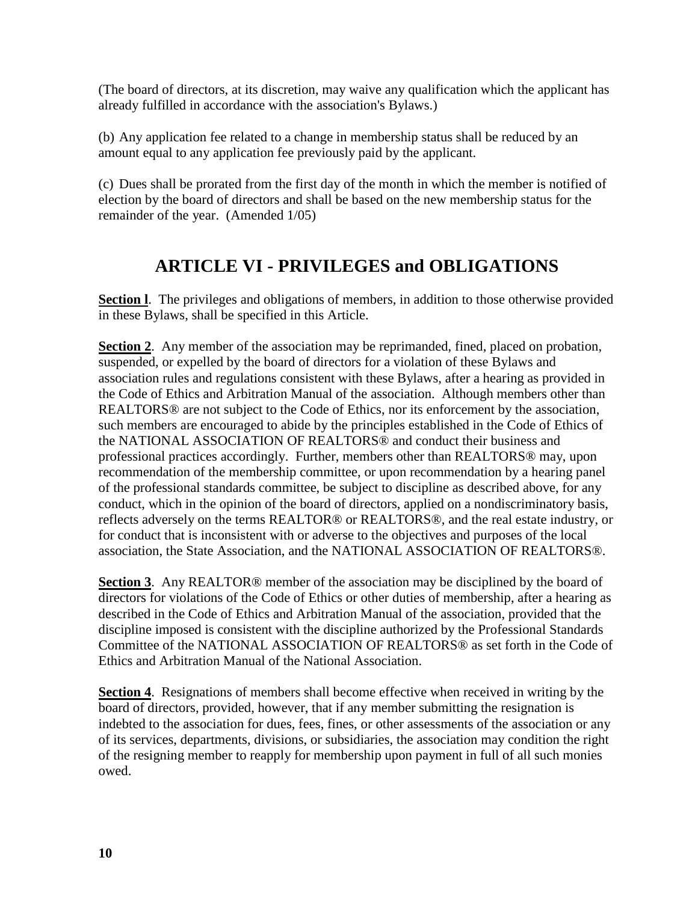(The board of directors, at its discretion, may waive any qualification which the applicant has already fulfilled in accordance with the association's Bylaws.)

(b) Any application fee related to a change in membership status shall be reduced by an amount equal to any application fee previously paid by the applicant.

(c) Dues shall be prorated from the first day of the month in which the member is notified of election by the board of directors and shall be based on the new membership status for the remainder of the year. (Amended 1/05)

### **ARTICLE VI - PRIVILEGES and OBLIGATIONS**

**Section 1.** The privileges and obligations of members, in addition to those otherwise provided in these Bylaws, shall be specified in this Article.

**Section 2.** Any member of the association may be reprimanded, fined, placed on probation, suspended, or expelled by the board of directors for a violation of these Bylaws and association rules and regulations consistent with these Bylaws, after a hearing as provided in the Code of Ethics and Arbitration Manual of the association. Although members other than REALTORS® are not subject to the Code of Ethics, nor its enforcement by the association, such members are encouraged to abide by the principles established in the Code of Ethics of the NATIONAL ASSOCIATION OF REALTORS® and conduct their business and professional practices accordingly. Further, members other than REALTORS® may, upon recommendation of the membership committee, or upon recommendation by a hearing panel of the professional standards committee, be subject to discipline as described above, for any conduct, which in the opinion of the board of directors, applied on a nondiscriminatory basis, reflects adversely on the terms REALTOR® or REALTORS®, and the real estate industry, or for conduct that is inconsistent with or adverse to the objectives and purposes of the local association, the State Association, and the NATIONAL ASSOCIATION OF REALTORS®.

**Section 3**. Any REALTOR® member of the association may be disciplined by the board of directors for violations of the Code of Ethics or other duties of membership, after a hearing as described in the Code of Ethics and Arbitration Manual of the association, provided that the discipline imposed is consistent with the discipline authorized by the Professional Standards Committee of the NATIONAL ASSOCIATION OF REALTORS® as set forth in the Code of Ethics and Arbitration Manual of the National Association.

**Section 4.** Resignations of members shall become effective when received in writing by the board of directors, provided, however, that if any member submitting the resignation is indebted to the association for dues, fees, fines, or other assessments of the association or any of its services, departments, divisions, or subsidiaries, the association may condition the right of the resigning member to reapply for membership upon payment in full of all such monies owed.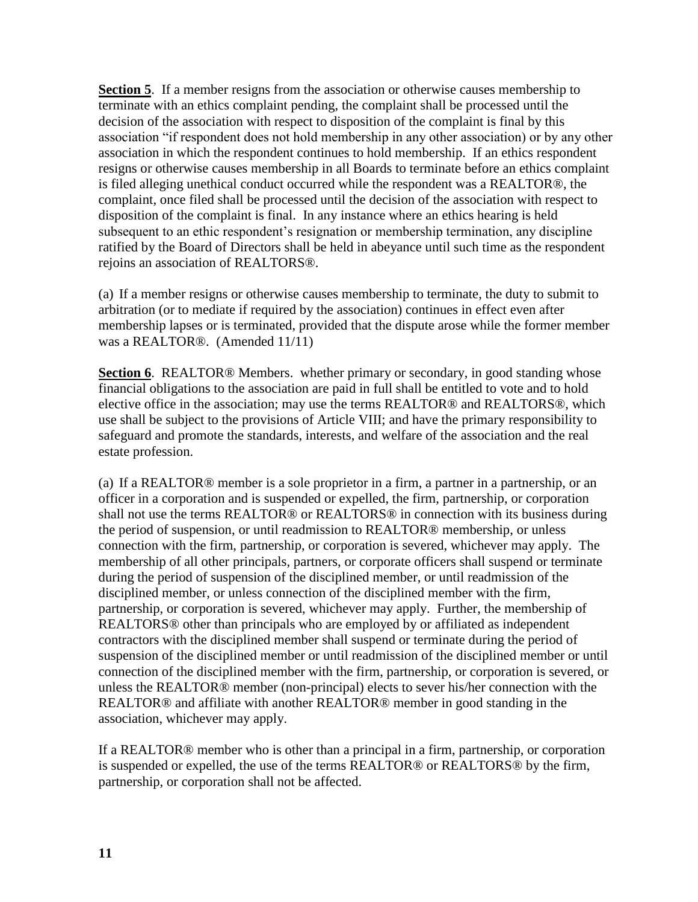**Section 5**. If a member resigns from the association or otherwise causes membership to terminate with an ethics complaint pending, the complaint shall be processed until the decision of the association with respect to disposition of the complaint is final by this association "if respondent does not hold membership in any other association) or by any other association in which the respondent continues to hold membership. If an ethics respondent resigns or otherwise causes membership in all Boards to terminate before an ethics complaint is filed alleging unethical conduct occurred while the respondent was a REALTOR®, the complaint, once filed shall be processed until the decision of the association with respect to disposition of the complaint is final. In any instance where an ethics hearing is held subsequent to an ethic respondent's resignation or membership termination, any discipline ratified by the Board of Directors shall be held in abeyance until such time as the respondent rejoins an association of REALTORS®.

(a) If a member resigns or otherwise causes membership to terminate, the duty to submit to arbitration (or to mediate if required by the association) continues in effect even after membership lapses or is terminated, provided that the dispute arose while the former member was a REALTOR®. (Amended 11/11)

**Section 6**. REALTOR® Members. whether primary or secondary, in good standing whose financial obligations to the association are paid in full shall be entitled to vote and to hold elective office in the association; may use the terms REALTOR® and REALTORS®, which use shall be subject to the provisions of Article VIII; and have the primary responsibility to safeguard and promote the standards, interests, and welfare of the association and the real estate profession.

(a) If a REALTOR® member is a sole proprietor in a firm, a partner in a partnership, or an officer in a corporation and is suspended or expelled, the firm, partnership, or corporation shall not use the terms REALTOR® or REALTORS® in connection with its business during the period of suspension, or until readmission to REALTOR® membership, or unless connection with the firm, partnership, or corporation is severed, whichever may apply. The membership of all other principals, partners, or corporate officers shall suspend or terminate during the period of suspension of the disciplined member, or until readmission of the disciplined member, or unless connection of the disciplined member with the firm, partnership, or corporation is severed, whichever may apply. Further, the membership of REALTORS® other than principals who are employed by or affiliated as independent contractors with the disciplined member shall suspend or terminate during the period of suspension of the disciplined member or until readmission of the disciplined member or until connection of the disciplined member with the firm, partnership, or corporation is severed, or unless the REALTOR® member (non-principal) elects to sever his/her connection with the REALTOR® and affiliate with another REALTOR® member in good standing in the association, whichever may apply.

If a REALTOR® member who is other than a principal in a firm, partnership, or corporation is suspended or expelled, the use of the terms REALTOR® or REALTORS® by the firm, partnership, or corporation shall not be affected.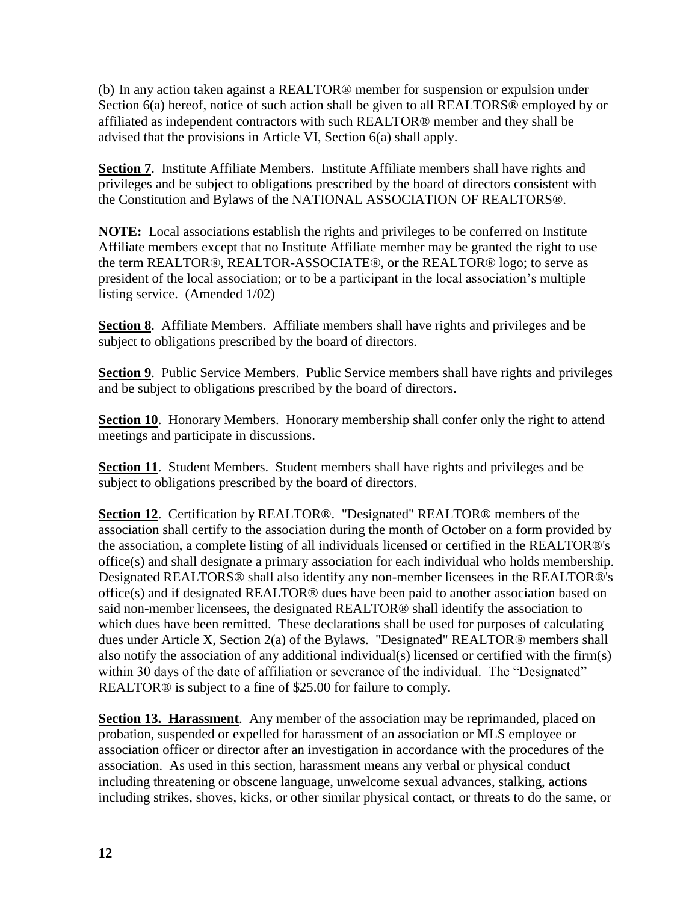(b) In any action taken against a REALTOR® member for suspension or expulsion under Section 6(a) hereof, notice of such action shall be given to all REALTORS<sup>®</sup> employed by or affiliated as independent contractors with such REALTOR® member and they shall be advised that the provisions in Article VI, Section 6(a) shall apply.

**Section 7**. Institute Affiliate Members. Institute Affiliate members shall have rights and privileges and be subject to obligations prescribed by the board of directors consistent with the Constitution and Bylaws of the NATIONAL ASSOCIATION OF REALTORS®.

**NOTE:** Local associations establish the rights and privileges to be conferred on Institute Affiliate members except that no Institute Affiliate member may be granted the right to use the term REALTOR®, REALTOR-ASSOCIATE®, or the REALTOR® logo; to serve as president of the local association; or to be a participant in the local association's multiple listing service. (Amended 1/02)

**Section 8**. Affiliate Members. Affiliate members shall have rights and privileges and be subject to obligations prescribed by the board of directors.

**Section 9.** Public Service Members. Public Service members shall have rights and privileges and be subject to obligations prescribed by the board of directors.

**Section 10.** Honorary Members. Honorary membership shall confer only the right to attend meetings and participate in discussions.

**Section 11**. Student Members. Student members shall have rights and privileges and be subject to obligations prescribed by the board of directors.

**Section 12**. Certification by REALTOR®. "Designated" REALTOR® members of the association shall certify to the association during the month of October on a form provided by the association, a complete listing of all individuals licensed or certified in the REALTOR®'s office(s) and shall designate a primary association for each individual who holds membership. Designated REALTORS® shall also identify any non-member licensees in the REALTOR®'s office(s) and if designated REALTOR® dues have been paid to another association based on said non-member licensees, the designated REALTOR® shall identify the association to which dues have been remitted. These declarations shall be used for purposes of calculating dues under Article X, Section 2(a) of the Bylaws. "Designated" REALTOR® members shall also notify the association of any additional individual(s) licensed or certified with the firm(s) within 30 days of the date of affiliation or severance of the individual. The "Designated" REALTOR® is subject to a fine of \$25.00 for failure to comply.

**Section 13. Harassment.** Any member of the association may be reprimanded, placed on probation, suspended or expelled for harassment of an association or MLS employee or association officer or director after an investigation in accordance with the procedures of the association. As used in this section, harassment means any verbal or physical conduct including threatening or obscene language, unwelcome sexual advances, stalking, actions including strikes, shoves, kicks, or other similar physical contact, or threats to do the same, or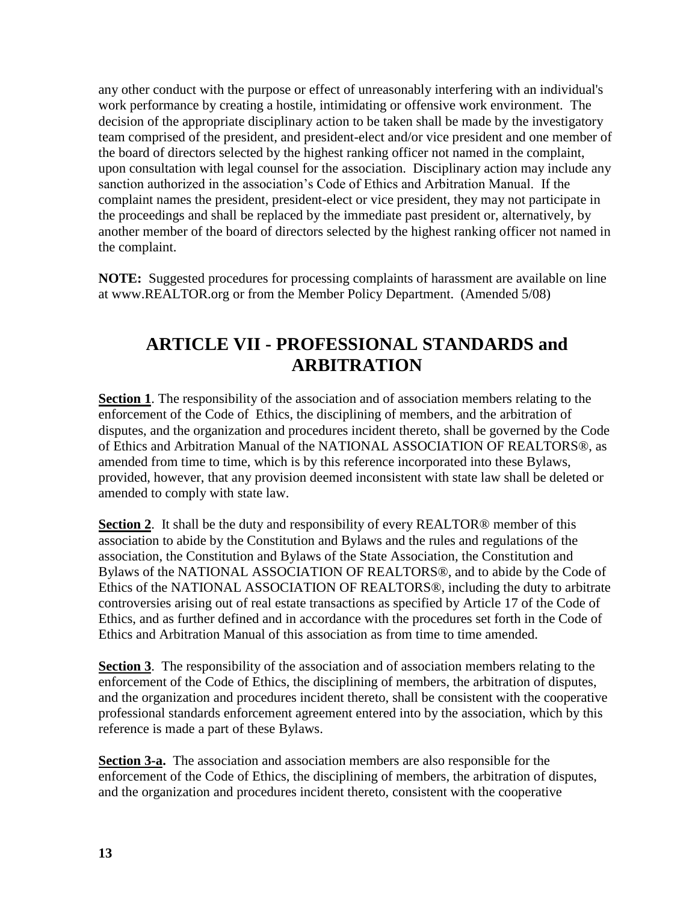any other conduct with the purpose or effect of unreasonably interfering with an individual's work performance by creating a hostile, intimidating or offensive work environment. The decision of the appropriate disciplinary action to be taken shall be made by the investigatory team comprised of the president, and president-elect and/or vice president and one member of the board of directors selected by the highest ranking officer not named in the complaint, upon consultation with legal counsel for the association. Disciplinary action may include any sanction authorized in the association's Code of Ethics and Arbitration Manual. If the complaint names the president, president-elect or vice president, they may not participate in the proceedings and shall be replaced by the immediate past president or, alternatively, by another member of the board of directors selected by the highest ranking officer not named in the complaint.

**NOTE:** Suggested procedures for processing complaints of harassment are available on line at www.REALTOR.org or from the Member Policy Department. (Amended 5/08)

### **ARTICLE VII - PROFESSIONAL STANDARDS and ARBITRATION**

**Section 1**. The responsibility of the association and of association members relating to the enforcement of the Code of Ethics, the disciplining of members, and the arbitration of disputes, and the organization and procedures incident thereto, shall be governed by the Code of Ethics and Arbitration Manual of the NATIONAL ASSOCIATION OF REALTORS®, as amended from time to time, which is by this reference incorporated into these Bylaws, provided, however, that any provision deemed inconsistent with state law shall be deleted or amended to comply with state law.

**Section 2**. It shall be the duty and responsibility of every REALTOR® member of this association to abide by the Constitution and Bylaws and the rules and regulations of the association, the Constitution and Bylaws of the State Association, the Constitution and Bylaws of the NATIONAL ASSOCIATION OF REALTORS®, and to abide by the Code of Ethics of the NATIONAL ASSOCIATION OF REALTORS®, including the duty to arbitrate controversies arising out of real estate transactions as specified by Article 17 of the Code of Ethics, and as further defined and in accordance with the procedures set forth in the Code of Ethics and Arbitration Manual of this association as from time to time amended.

**Section 3**. The responsibility of the association and of association members relating to the enforcement of the Code of Ethics, the disciplining of members, the arbitration of disputes, and the organization and procedures incident thereto, shall be consistent with the cooperative professional standards enforcement agreement entered into by the association, which by this reference is made a part of these Bylaws.

**Section 3-a.** The association and association members are also responsible for the enforcement of the Code of Ethics, the disciplining of members, the arbitration of disputes, and the organization and procedures incident thereto, consistent with the cooperative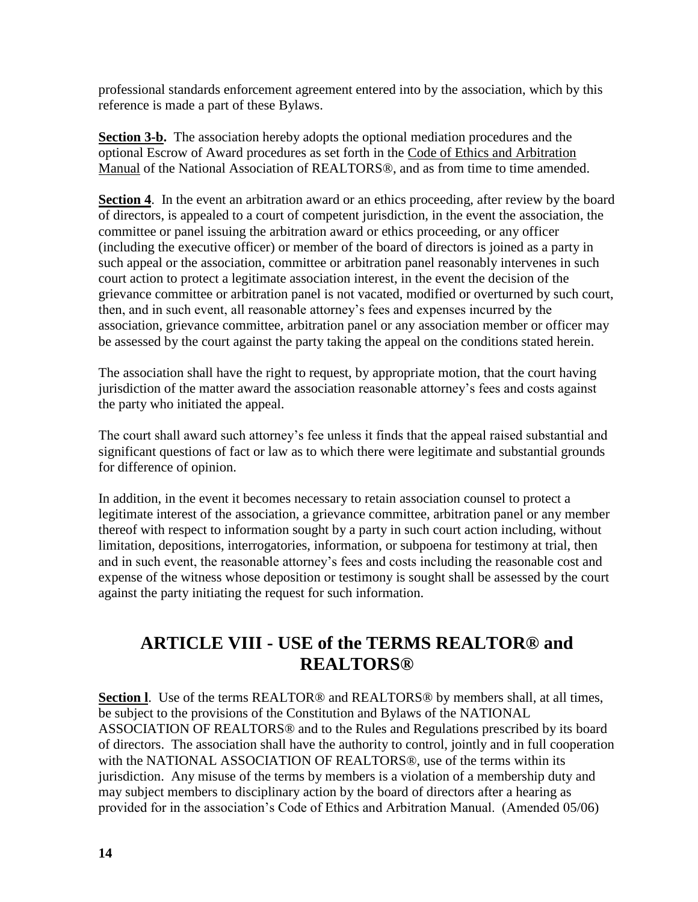professional standards enforcement agreement entered into by the association, which by this reference is made a part of these Bylaws.

**Section 3-b.** The association hereby adopts the optional mediation procedures and the optional Escrow of Award procedures as set forth in the Code of Ethics and Arbitration Manual of the National Association of REALTORS®, and as from time to time amended.

**Section 4.** In the event an arbitration award or an ethics proceeding, after review by the board of directors, is appealed to a court of competent jurisdiction, in the event the association, the committee or panel issuing the arbitration award or ethics proceeding, or any officer (including the executive officer) or member of the board of directors is joined as a party in such appeal or the association, committee or arbitration panel reasonably intervenes in such court action to protect a legitimate association interest, in the event the decision of the grievance committee or arbitration panel is not vacated, modified or overturned by such court, then, and in such event, all reasonable attorney's fees and expenses incurred by the association, grievance committee, arbitration panel or any association member or officer may be assessed by the court against the party taking the appeal on the conditions stated herein.

The association shall have the right to request, by appropriate motion, that the court having jurisdiction of the matter award the association reasonable attorney's fees and costs against the party who initiated the appeal.

The court shall award such attorney's fee unless it finds that the appeal raised substantial and significant questions of fact or law as to which there were legitimate and substantial grounds for difference of opinion.

In addition, in the event it becomes necessary to retain association counsel to protect a legitimate interest of the association, a grievance committee, arbitration panel or any member thereof with respect to information sought by a party in such court action including, without limitation, depositions, interrogatories, information, or subpoena for testimony at trial, then and in such event, the reasonable attorney's fees and costs including the reasonable cost and expense of the witness whose deposition or testimony is sought shall be assessed by the court against the party initiating the request for such information.

#### **ARTICLE VIII - USE of the TERMS REALTOR® and REALTORS®**

**Section 1.** Use of the terms REALTOR<sup>®</sup> and REALTORS<sup>®</sup> by members shall, at all times, be subject to the provisions of the Constitution and Bylaws of the NATIONAL ASSOCIATION OF REALTORS® and to the Rules and Regulations prescribed by its board of directors. The association shall have the authority to control, jointly and in full cooperation with the NATIONAL ASSOCIATION OF REALTORS®, use of the terms within its jurisdiction. Any misuse of the terms by members is a violation of a membership duty and may subject members to disciplinary action by the board of directors after a hearing as provided for in the association's Code of Ethics and Arbitration Manual. (Amended 05/06)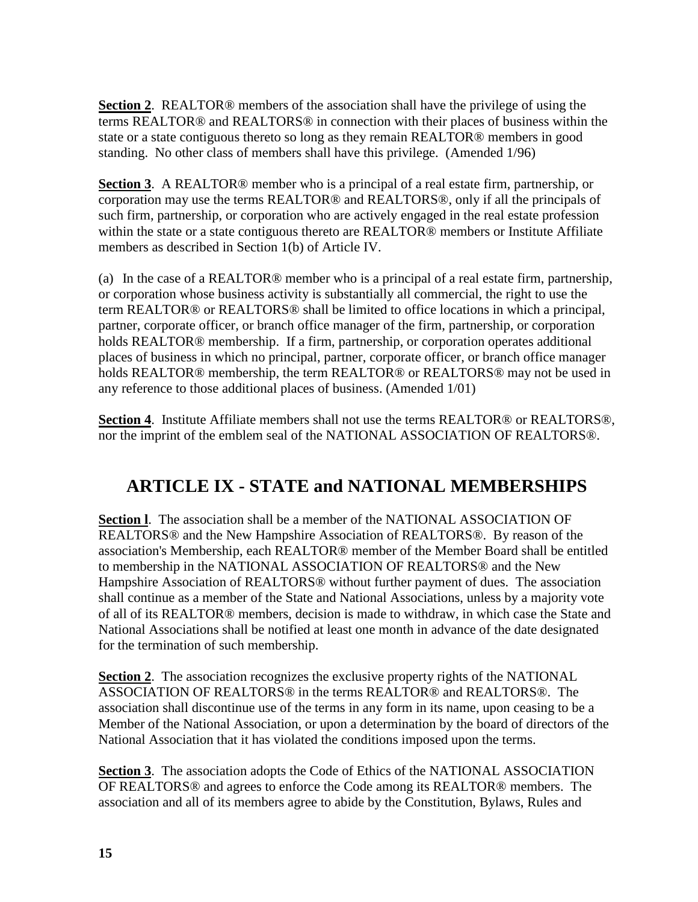**Section 2**. REALTOR® members of the association shall have the privilege of using the terms REALTOR® and REALTORS® in connection with their places of business within the state or a state contiguous thereto so long as they remain REALTOR® members in good standing. No other class of members shall have this privilege. (Amended 1/96)

**Section 3**. A REALTOR® member who is a principal of a real estate firm, partnership, or corporation may use the terms REALTOR® and REALTORS®, only if all the principals of such firm, partnership, or corporation who are actively engaged in the real estate profession within the state or a state contiguous thereto are REALTOR® members or Institute Affiliate members as described in Section 1(b) of Article IV.

(a) In the case of a REALTOR® member who is a principal of a real estate firm, partnership, or corporation whose business activity is substantially all commercial, the right to use the term REALTOR® or REALTORS® shall be limited to office locations in which a principal, partner, corporate officer, or branch office manager of the firm, partnership, or corporation holds REALTOR® membership. If a firm, partnership, or corporation operates additional places of business in which no principal, partner, corporate officer, or branch office manager holds REALTOR® membership, the term REALTOR® or REALTORS® may not be used in any reference to those additional places of business. (Amended 1/01)

**Section 4**. Institute Affiliate members shall not use the terms REALTOR® or REALTORS®, nor the imprint of the emblem seal of the NATIONAL ASSOCIATION OF REALTORS®.

# **ARTICLE IX - STATE and NATIONAL MEMBERSHIPS**

**Section l**. The association shall be a member of the NATIONAL ASSOCIATION OF REALTORS® and the New Hampshire Association of REALTORS®. By reason of the association's Membership, each REALTOR® member of the Member Board shall be entitled to membership in the NATIONAL ASSOCIATION OF REALTORS® and the New Hampshire Association of REALTORS® without further payment of dues. The association shall continue as a member of the State and National Associations, unless by a majority vote of all of its REALTOR® members, decision is made to withdraw, in which case the State and National Associations shall be notified at least one month in advance of the date designated for the termination of such membership.

**Section 2**. The association recognizes the exclusive property rights of the NATIONAL ASSOCIATION OF REALTORS® in the terms REALTOR® and REALTORS®. The association shall discontinue use of the terms in any form in its name, upon ceasing to be a Member of the National Association, or upon a determination by the board of directors of the National Association that it has violated the conditions imposed upon the terms.

**Section 3**. The association adopts the Code of Ethics of the NATIONAL ASSOCIATION OF REALTORS® and agrees to enforce the Code among its REALTOR® members. The association and all of its members agree to abide by the Constitution, Bylaws, Rules and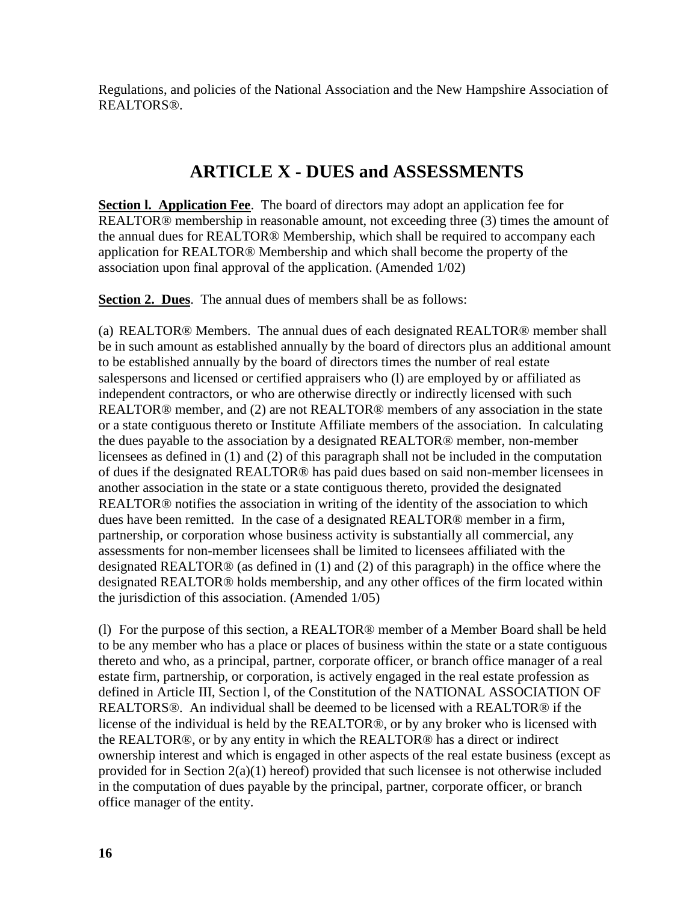Regulations, and policies of the National Association and the New Hampshire Association of REALTORS®.

### **ARTICLE X - DUES and ASSESSMENTS**

**Section l. Application Fee**. The board of directors may adopt an application fee for REALTOR® membership in reasonable amount, not exceeding three (3) times the amount of the annual dues for REALTOR® Membership, which shall be required to accompany each application for REALTOR® Membership and which shall become the property of the association upon final approval of the application. (Amended 1/02)

**Section 2. Dues**. The annual dues of members shall be as follows:

(a) REALTOR® Members. The annual dues of each designated REALTOR® member shall be in such amount as established annually by the board of directors plus an additional amount to be established annually by the board of directors times the number of real estate salespersons and licensed or certified appraisers who (l) are employed by or affiliated as independent contractors, or who are otherwise directly or indirectly licensed with such REALTOR® member, and (2) are not REALTOR® members of any association in the state or a state contiguous thereto or Institute Affiliate members of the association. In calculating the dues payable to the association by a designated REALTOR® member, non-member licensees as defined in (1) and (2) of this paragraph shall not be included in the computation of dues if the designated REALTOR® has paid dues based on said non-member licensees in another association in the state or a state contiguous thereto, provided the designated REALTOR® notifies the association in writing of the identity of the association to which dues have been remitted. In the case of a designated REALTOR® member in a firm, partnership, or corporation whose business activity is substantially all commercial, any assessments for non-member licensees shall be limited to licensees affiliated with the designated REALTOR® (as defined in (1) and (2) of this paragraph) in the office where the designated REALTOR® holds membership, and any other offices of the firm located within the jurisdiction of this association. (Amended 1/05)

(l) For the purpose of this section, a REALTOR® member of a Member Board shall be held to be any member who has a place or places of business within the state or a state contiguous thereto and who, as a principal, partner, corporate officer, or branch office manager of a real estate firm, partnership, or corporation, is actively engaged in the real estate profession as defined in Article III, Section l, of the Constitution of the NATIONAL ASSOCIATION OF REALTORS®. An individual shall be deemed to be licensed with a REALTOR® if the license of the individual is held by the REALTOR®, or by any broker who is licensed with the REALTOR®, or by any entity in which the REALTOR® has a direct or indirect ownership interest and which is engaged in other aspects of the real estate business (except as provided for in Section 2(a)(1) hereof) provided that such licensee is not otherwise included in the computation of dues payable by the principal, partner, corporate officer, or branch office manager of the entity.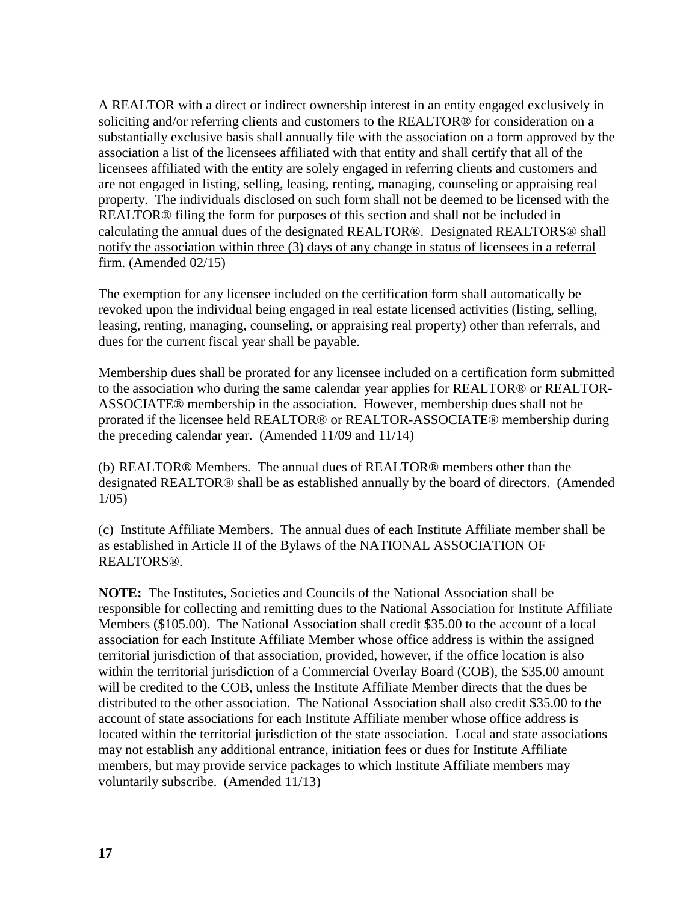A REALTOR with a direct or indirect ownership interest in an entity engaged exclusively in soliciting and/or referring clients and customers to the REALTOR® for consideration on a substantially exclusive basis shall annually file with the association on a form approved by the association a list of the licensees affiliated with that entity and shall certify that all of the licensees affiliated with the entity are solely engaged in referring clients and customers and are not engaged in listing, selling, leasing, renting, managing, counseling or appraising real property. The individuals disclosed on such form shall not be deemed to be licensed with the REALTOR® filing the form for purposes of this section and shall not be included in calculating the annual dues of the designated REALTOR®. Designated REALTORS® shall notify the association within three (3) days of any change in status of licensees in a referral firm. (Amended 02/15)

The exemption for any licensee included on the certification form shall automatically be revoked upon the individual being engaged in real estate licensed activities (listing, selling, leasing, renting, managing, counseling, or appraising real property) other than referrals, and dues for the current fiscal year shall be payable.

Membership dues shall be prorated for any licensee included on a certification form submitted to the association who during the same calendar year applies for REALTOR® or REALTOR-ASSOCIATE® membership in the association. However, membership dues shall not be prorated if the licensee held REALTOR® or REALTOR-ASSOCIATE® membership during the preceding calendar year. (Amended 11/09 and 11/14)

(b) REALTOR® Members. The annual dues of REALTOR® members other than the designated REALTOR® shall be as established annually by the board of directors. (Amended 1/05)

(c) Institute Affiliate Members. The annual dues of each Institute Affiliate member shall be as established in Article II of the Bylaws of the NATIONAL ASSOCIATION OF REALTORS®.

**NOTE:** The Institutes, Societies and Councils of the National Association shall be responsible for collecting and remitting dues to the National Association for Institute Affiliate Members (\$105.00). The National Association shall credit \$35.00 to the account of a local association for each Institute Affiliate Member whose office address is within the assigned territorial jurisdiction of that association, provided, however, if the office location is also within the territorial jurisdiction of a Commercial Overlay Board (COB), the \$35.00 amount will be credited to the COB, unless the Institute Affiliate Member directs that the dues be distributed to the other association. The National Association shall also credit \$35.00 to the account of state associations for each Institute Affiliate member whose office address is located within the territorial jurisdiction of the state association. Local and state associations may not establish any additional entrance, initiation fees or dues for Institute Affiliate members, but may provide service packages to which Institute Affiliate members may voluntarily subscribe. (Amended 11/13)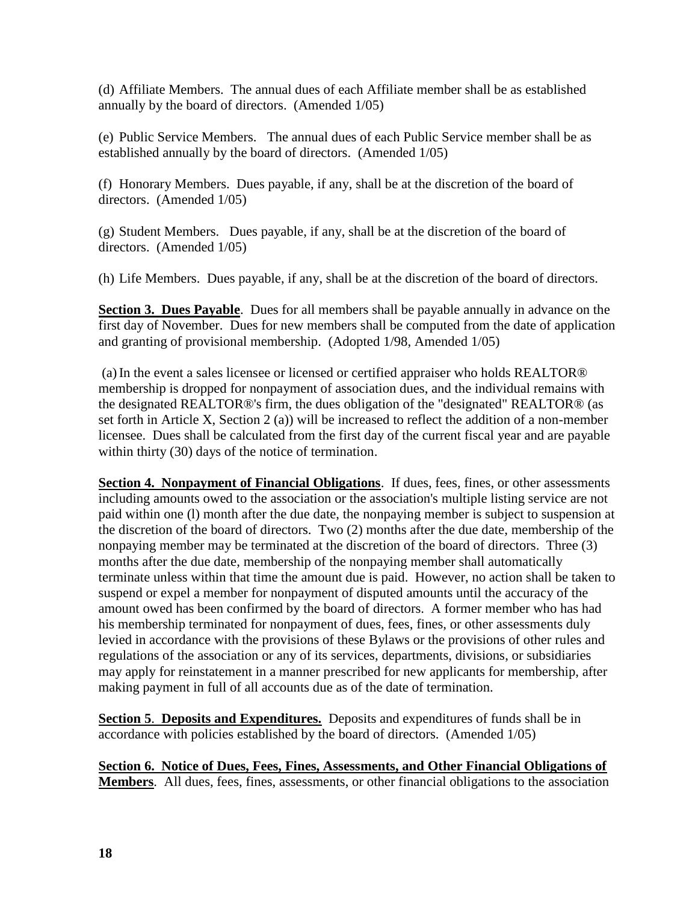(d) Affiliate Members. The annual dues of each Affiliate member shall be as established annually by the board of directors. (Amended 1/05)

(e) Public Service Members. The annual dues of each Public Service member shall be as established annually by the board of directors. (Amended 1/05)

(f) Honorary Members. Dues payable, if any, shall be at the discretion of the board of directors. (Amended 1/05)

(g) Student Members. Dues payable, if any, shall be at the discretion of the board of directors. (Amended 1/05)

(h) Life Members. Dues payable, if any, shall be at the discretion of the board of directors.

**Section 3. Dues Payable**. Dues for all members shall be payable annually in advance on the first day of November. Dues for new members shall be computed from the date of application and granting of provisional membership. (Adopted 1/98, Amended 1/05)

(a)In the event a sales licensee or licensed or certified appraiser who holds REALTOR® membership is dropped for nonpayment of association dues, and the individual remains with the designated REALTOR®'s firm, the dues obligation of the "designated" REALTOR® (as set forth in Article X, Section 2 (a)) will be increased to reflect the addition of a non-member licensee. Dues shall be calculated from the first day of the current fiscal year and are payable within thirty (30) days of the notice of termination.

**Section 4. Nonpayment of Financial Obligations**. If dues, fees, fines, or other assessments including amounts owed to the association or the association's multiple listing service are not paid within one (l) month after the due date, the nonpaying member is subject to suspension at the discretion of the board of directors. Two (2) months after the due date, membership of the nonpaying member may be terminated at the discretion of the board of directors. Three (3) months after the due date, membership of the nonpaying member shall automatically terminate unless within that time the amount due is paid. However, no action shall be taken to suspend or expel a member for nonpayment of disputed amounts until the accuracy of the amount owed has been confirmed by the board of directors. A former member who has had his membership terminated for nonpayment of dues, fees, fines, or other assessments duly levied in accordance with the provisions of these Bylaws or the provisions of other rules and regulations of the association or any of its services, departments, divisions, or subsidiaries may apply for reinstatement in a manner prescribed for new applicants for membership, after making payment in full of all accounts due as of the date of termination.

**Section 5**. **Deposits and Expenditures.** Deposits and expenditures of funds shall be in accordance with policies established by the board of directors. (Amended 1/05)

**Section 6. Notice of Dues, Fees, Fines, Assessments, and Other Financial Obligations of Members**. All dues, fees, fines, assessments, or other financial obligations to the association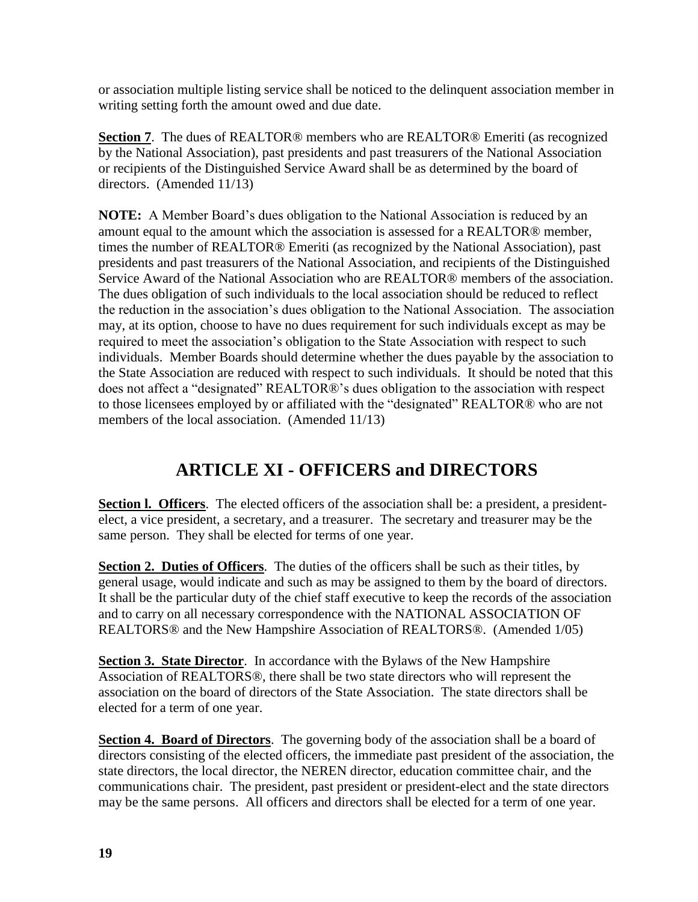or association multiple listing service shall be noticed to the delinquent association member in writing setting forth the amount owed and due date.

**Section 7**. The dues of REALTOR® members who are REALTOR® Emeriti (as recognized by the National Association), past presidents and past treasurers of the National Association or recipients of the Distinguished Service Award shall be as determined by the board of directors. (Amended 11/13)

**NOTE:** A Member Board's dues obligation to the National Association is reduced by an amount equal to the amount which the association is assessed for a REALTOR® member, times the number of REALTOR® Emeriti (as recognized by the National Association), past presidents and past treasurers of the National Association, and recipients of the Distinguished Service Award of the National Association who are REALTOR® members of the association. The dues obligation of such individuals to the local association should be reduced to reflect the reduction in the association's dues obligation to the National Association. The association may, at its option, choose to have no dues requirement for such individuals except as may be required to meet the association's obligation to the State Association with respect to such individuals. Member Boards should determine whether the dues payable by the association to the State Association are reduced with respect to such individuals. It should be noted that this does not affect a "designated" REALTOR®'s dues obligation to the association with respect to those licensees employed by or affiliated with the "designated" REALTOR® who are not members of the local association. (Amended 11/13)

# **ARTICLE XI - OFFICERS and DIRECTORS**

**Section I. Officers.** The elected officers of the association shall be: a president, a presidentelect, a vice president, a secretary, and a treasurer. The secretary and treasurer may be the same person. They shall be elected for terms of one year.

**Section 2. Duties of Officers**. The duties of the officers shall be such as their titles, by general usage, would indicate and such as may be assigned to them by the board of directors. It shall be the particular duty of the chief staff executive to keep the records of the association and to carry on all necessary correspondence with the NATIONAL ASSOCIATION OF REALTORS® and the New Hampshire Association of REALTORS®. (Amended 1/05)

**Section 3. State Director.** In accordance with the Bylaws of the New Hampshire Association of REALTORS®, there shall be two state directors who will represent the association on the board of directors of the State Association. The state directors shall be elected for a term of one year.

**Section 4. Board of Directors**. The governing body of the association shall be a board of directors consisting of the elected officers, the immediate past president of the association, the state directors, the local director, the NEREN director, education committee chair, and the communications chair. The president, past president or president-elect and the state directors may be the same persons. All officers and directors shall be elected for a term of one year.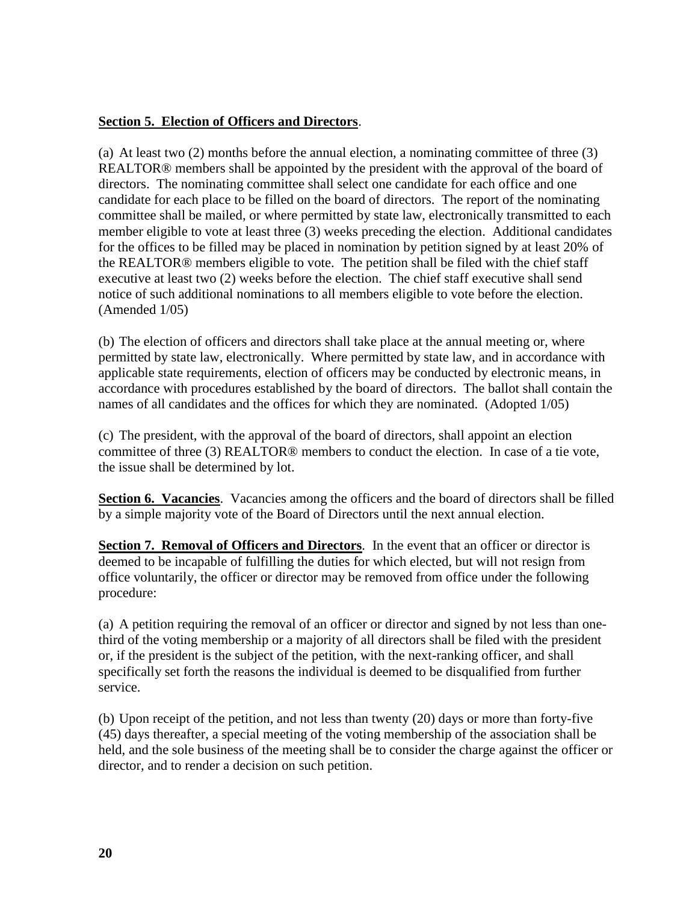#### **Section 5. Election of Officers and Directors**.

(a) At least two (2) months before the annual election, a nominating committee of three (3) REALTOR® members shall be appointed by the president with the approval of the board of directors. The nominating committee shall select one candidate for each office and one candidate for each place to be filled on the board of directors. The report of the nominating committee shall be mailed, or where permitted by state law, electronically transmitted to each member eligible to vote at least three (3) weeks preceding the election. Additional candidates for the offices to be filled may be placed in nomination by petition signed by at least 20% of the REALTOR® members eligible to vote. The petition shall be filed with the chief staff executive at least two (2) weeks before the election. The chief staff executive shall send notice of such additional nominations to all members eligible to vote before the election. (Amended 1/05)

(b) The election of officers and directors shall take place at the annual meeting or, where permitted by state law, electronically. Where permitted by state law, and in accordance with applicable state requirements, election of officers may be conducted by electronic means, in accordance with procedures established by the board of directors. The ballot shall contain the names of all candidates and the offices for which they are nominated. (Adopted 1/05)

(c) The president, with the approval of the board of directors, shall appoint an election committee of three (3) REALTOR® members to conduct the election. In case of a tie vote, the issue shall be determined by lot.

**Section 6. Vacancies**. Vacancies among the officers and the board of directors shall be filled by a simple majority vote of the Board of Directors until the next annual election.

**Section 7. Removal of Officers and Directors**. In the event that an officer or director is deemed to be incapable of fulfilling the duties for which elected, but will not resign from office voluntarily, the officer or director may be removed from office under the following procedure:

(a) A petition requiring the removal of an officer or director and signed by not less than onethird of the voting membership or a majority of all directors shall be filed with the president or, if the president is the subject of the petition, with the next-ranking officer, and shall specifically set forth the reasons the individual is deemed to be disqualified from further service.

(b) Upon receipt of the petition, and not less than twenty (20) days or more than forty-five (45) days thereafter, a special meeting of the voting membership of the association shall be held, and the sole business of the meeting shall be to consider the charge against the officer or director, and to render a decision on such petition.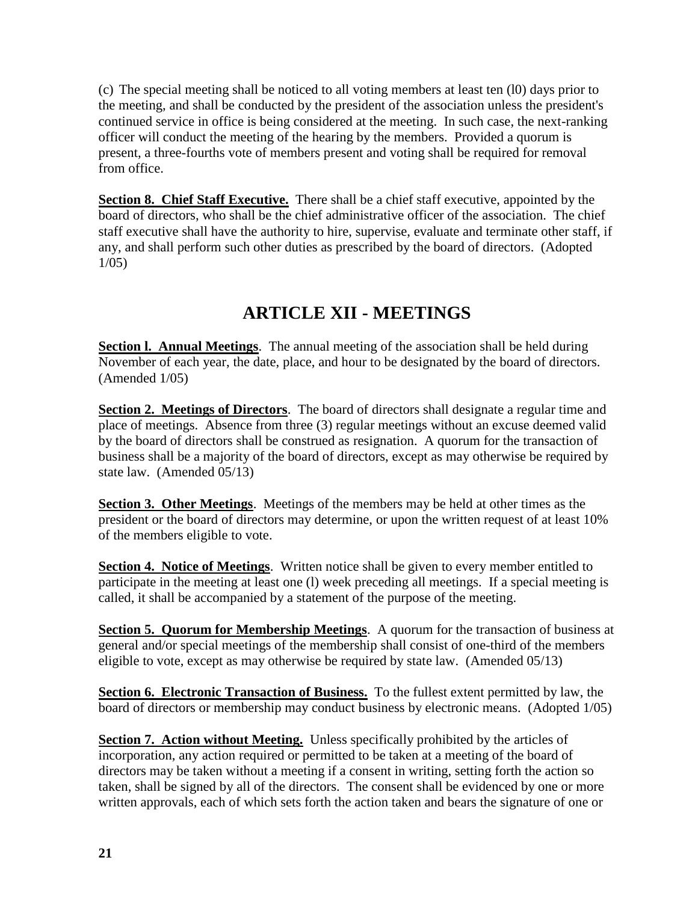(c) The special meeting shall be noticed to all voting members at least ten (l0) days prior to the meeting, and shall be conducted by the president of the association unless the president's continued service in office is being considered at the meeting. In such case, the next-ranking officer will conduct the meeting of the hearing by the members. Provided a quorum is present, a three-fourths vote of members present and voting shall be required for removal from office.

**Section 8. Chief Staff Executive.** There shall be a chief staff executive, appointed by the board of directors, who shall be the chief administrative officer of the association. The chief staff executive shall have the authority to hire, supervise, evaluate and terminate other staff, if any, and shall perform such other duties as prescribed by the board of directors. (Adopted 1/05)

# **ARTICLE XII - MEETINGS**

**Section I. Annual Meetings.** The annual meeting of the association shall be held during November of each year, the date, place, and hour to be designated by the board of directors. (Amended 1/05)

**Section 2. Meetings of Directors**. The board of directors shall designate a regular time and place of meetings. Absence from three (3) regular meetings without an excuse deemed valid by the board of directors shall be construed as resignation. A quorum for the transaction of business shall be a majority of the board of directors, except as may otherwise be required by state law. (Amended 05/13)

**Section 3. Other Meetings**. Meetings of the members may be held at other times as the president or the board of directors may determine, or upon the written request of at least 10% of the members eligible to vote.

**Section 4. Notice of Meetings**. Written notice shall be given to every member entitled to participate in the meeting at least one (l) week preceding all meetings. If a special meeting is called, it shall be accompanied by a statement of the purpose of the meeting.

**Section 5. Quorum for Membership Meetings.** A quorum for the transaction of business at general and/or special meetings of the membership shall consist of one-third of the members eligible to vote, except as may otherwise be required by state law. (Amended 05/13)

**Section 6. Electronic Transaction of Business.** To the fullest extent permitted by law, the board of directors or membership may conduct business by electronic means. (Adopted 1/05)

**Section 7. Action without Meeting.** Unless specifically prohibited by the articles of incorporation, any action required or permitted to be taken at a meeting of the board of directors may be taken without a meeting if a consent in writing, setting forth the action so taken, shall be signed by all of the directors. The consent shall be evidenced by one or more written approvals, each of which sets forth the action taken and bears the signature of one or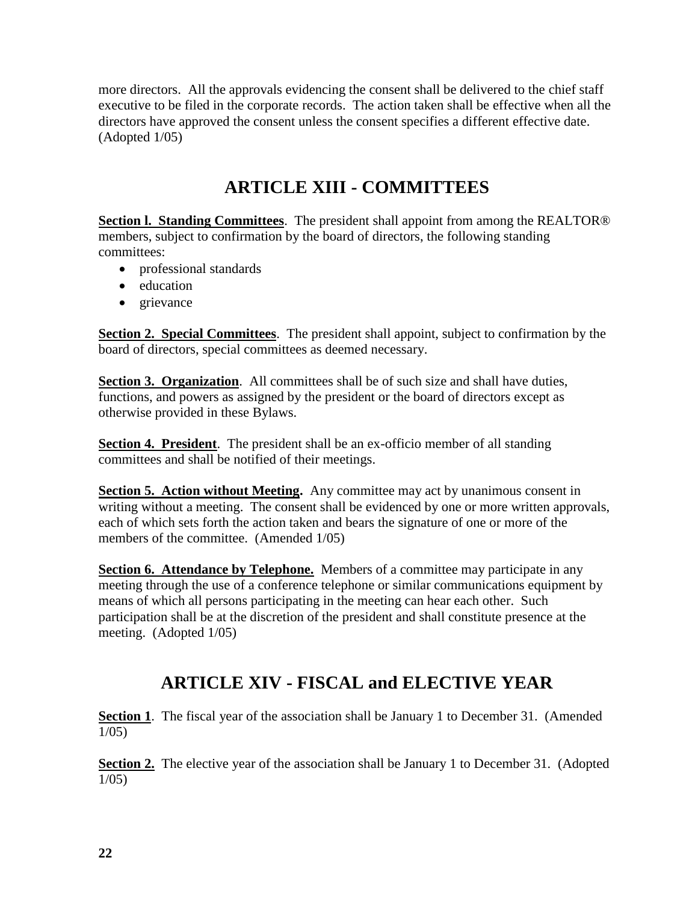more directors. All the approvals evidencing the consent shall be delivered to the chief staff executive to be filed in the corporate records. The action taken shall be effective when all the directors have approved the consent unless the consent specifies a different effective date. (Adopted 1/05)

# **ARTICLE XIII - COMMITTEES**

**Section l. Standing Committees**. The president shall appoint from among the REALTOR® members, subject to confirmation by the board of directors, the following standing committees:

- professional standards
- education
- grievance

**Section 2. Special Committees**. The president shall appoint, subject to confirmation by the board of directors, special committees as deemed necessary.

**Section 3. Organization.** All committees shall be of such size and shall have duties, functions, and powers as assigned by the president or the board of directors except as otherwise provided in these Bylaws.

**Section 4. President**. The president shall be an ex-officio member of all standing committees and shall be notified of their meetings.

**Section 5. Action without Meeting.** Any committee may act by unanimous consent in writing without a meeting. The consent shall be evidenced by one or more written approvals, each of which sets forth the action taken and bears the signature of one or more of the members of the committee. (Amended 1/05)

**Section 6. Attendance by Telephone.** Members of a committee may participate in any meeting through the use of a conference telephone or similar communications equipment by means of which all persons participating in the meeting can hear each other. Such participation shall be at the discretion of the president and shall constitute presence at the meeting. (Adopted 1/05)

### **ARTICLE XIV - FISCAL and ELECTIVE YEAR**

**Section 1**. The fiscal year of the association shall be January 1 to December 31. (Amended 1/05)

**Section 2.** The elective year of the association shall be January 1 to December 31. (Adopted 1/05)